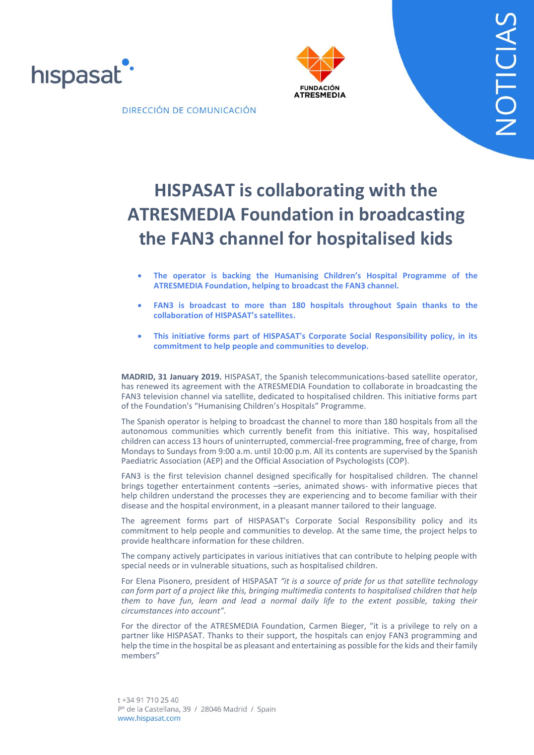





DIRECCIÓN DE COMUNICACIÓN

# **HISPASAT is collaborating with the ATRESMEDIA Foundation in broadcasting the FAN3 channel for hospitalised kids**

- **The operator is backing the Humanising Children's Hospital Programme of the ATRESMEDIA Foundation, helping to broadcast the FAN3 channel.**
- **FAN3 is broadcast to more than 180 hospitals throughout Spain thanks to the collaboration of HISPASAT's satellites.**
- **This initiative forms part of HISPASAT's Corporate Social Responsibility policy, in its commitment to help people and communities to develop.**

**MADRID, 31 January 2019.** HISPASAT, the Spanish telecommunications-based satellite operator, has renewed its agreement with the ATRESMEDIA Foundation to collaborate in broadcasting the FAN3 television channel via satellite, dedicated to hospitalised children. This initiative forms part of the Foundation's "Humanising Children's Hospitals" Programme.

The Spanish operator is helping to broadcast the channel to more than 180 hospitals from all the autonomous communities which currently benefit from this initiative. This way, hospitalised children can access 13 hours of uninterrupted, commercial-free programming, free of charge, from Mondays to Sundays from 9:00 a.m. until 10:00 p.m. All its contents are supervised by the Spanish Paediatric Association (AEP) and the Official Association of Psychologists (COP).

FAN3 is the first television channel designed specifically for hospitalised children. The channel brings together entertainment contents –series, animated shows- with informative pieces that help children understand the processes they are experiencing and to become familiar with their disease and the hospital environment, in a pleasant manner tailored to their language.

The agreement forms part of HISPASAT's Corporate Social Responsibility policy and its commitment to help people and communities to develop. At the same time, the project helps to provide healthcare information for these children.

The company actively participates in various initiatives that can contribute to helping people with special needs or in vulnerable situations, such as hospitalised children.

For Elena Pisonero, president of HISPASAT *"it is a source of pride for us that satellite technology can form part of a project like this, bringing multimedia contents to hospitalised children that help them to have fun, learn and lead a normal daily life to the extent possible, taking their circumstances into account".*

For the director of the ATRESMEDIA Foundation, Carmen Bieger, "it is a privilege to rely on a partner like HISPASAT. Thanks to their support, the hospitals can enjoy FAN3 programming and help the time in the hospital be as pleasant and entertaining as possible for the kids and their family members"